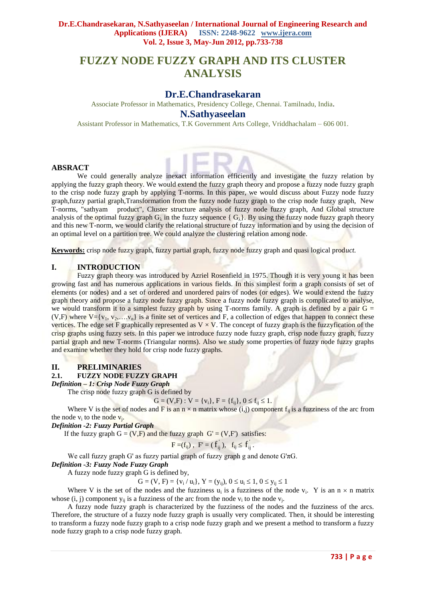# **FUZZY NODE FUZZY GRAPH AND ITS CLUSTER ANALYSIS**

# **Dr.E.Chandrasekaran**

Associate Professor in Mathematics, Presidency College, Chennai. Tamilnadu, India**. N.Sathyaseelan**

Assistant Professor in Mathematics, T.K Government Arts College, Vriddhachalam – 606 001.

## **ABSRACT**

We could generally analyze inexact information efficiently and investigate the fuzzy relation by applying the fuzzy graph theory. We would extend the fuzzy graph theory and propose a fuzzy node fuzzy graph to the crisp node fuzzy graph by applying T-norms. In this paper, we would discuss about Fuzzy node fuzzy graph,fuzzy partial graph,Transformation from the fuzzy node fuzzy graph to the crisp node fuzzy graph, New T-norms, "sathyam product", Cluster structure analysis of fuzzy node fuzzy graph, And Global structure analysis of the optimal fuzzy graph  $G_\lambda$  in the fuzzy sequence {  $G_\lambda$ }. By using the fuzzy node fuzzy graph theory and this new T-norm, we would clarify the relational structure of fuzzy information and by using the decision of an optimal level on a partition tree. We could analyze the clustering relation among node.

**Keywords:** crisp node fuzzy graph, fuzzy partial graph, fuzzy node fuzzy graph and quasi logical prod*uct.*

## **I. INTRODUCTION**

Fuzzy graph theory was introduced by Azriel Rosenfield in 1975. Though it is very young it has been growing fast and has numerous applications in various fields. In this simplest form a graph consists of set of elements (or nodes) and a set of ordered and unordered pairs of nodes (or edges). We would extend the fuzzy graph theory and propose a fuzzy node fuzzy graph. Since a fuzzy node fuzzy graph is complicated to analyse, we would transform it to a simplest fuzzy graph by using T-norms family. A graph is defined by a pair  $G =$ (V,F) where  $V = \{v_1, v_2, \ldots, v_n\}$  is a finite set of vertices and F, a collection of edges that happen to connect these vertices. The edge set F graphically represented as  $V \times V$ . The concept of fuzzy graph is the fuzzyfication of the crisp graphs using fuzzy sets. In this paper we introduce fuzzy node fuzzy graph, crisp node fuzzy graph, fuzzy partial graph and new T-norms (Triangular norms). Also we study some properties of fuzzy node fuzzy graphs and examine whether they hold for crisp node fuzzy graphs.

## **II. PRELIMINARIES**

## **2.1. FUZZY NODE FUZZY GRAPH**

*Definition – 1: Crisp Node Fuzzy Graph*

The crisp node fuzzy graph G is defined by

$$
G = (V, F) : V = \{v_i\}, F = \{f_{ij}\}, 0 \le f_{ij} \le 1.
$$

Where V is the set of nodes and F is an  $n \times n$  matrix whose (i,j) component  $f_{ij}$  is a fuzziness of the arc from the node  $v_i$  to the node  $v_j$ .

*Definition -2: Fuzzy Partial Graph*

If the fuzzy graph  $G = (V, F)$  and the fuzzy graph  $G' = (V, F')$  satisfies:

$$
F=(f_{ij})
$$
,  $F'=(f_{ij})$ ,  $f_{ij} \le f_{ij}$ .

We call fuzzy graph G' as fuzzy partial graph of fuzzy graph g and denote G'πG.

## *Definition -3: Fuzzy Node Fuzzy Graph*

A fuzzy node fuzzy graph G is defined by,

 $G = (V, F) = \{v_i / u_i\}, Y = (y_{ij}), 0 \le u_i \le 1, 0 \le y_{ij} \le 1$ 

Where V is the set of the nodes and the fuzziness  $u_i$  is a fuzziness of the node  $v_i$ . Y is an  $n \times n$  matrix whose  $(i, j)$  component  $y_{ij}$  is a fuzziness of the arc from the node  $v_i$  to the node  $v_j$ .

A fuzzy node fuzzy graph is characterized by the fuzziness of the nodes and the fuzziness of the arcs. Therefore, the structure of a fuzzy node fuzzy graph is usually very complicated. Then, it should be interesting to transform a fuzzy node fuzzy graph to a crisp node fuzzy graph and we present a method to transform a fuzzy node fuzzy graph to a crisp node fuzzy graph.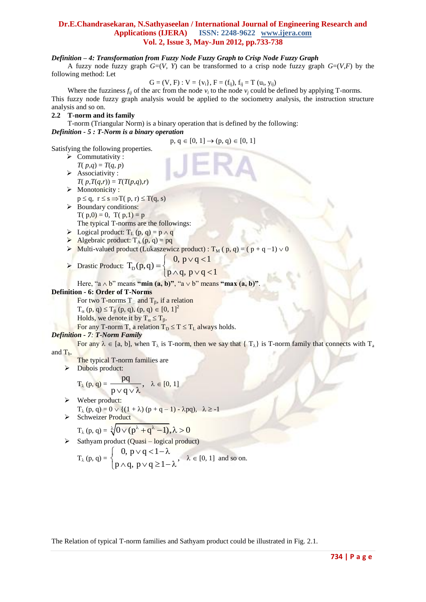## *Definition – 4: Transformation from Fuzzy Node Fuzzy Graph to Crisp Node Fuzzy Graph*

A fuzzy node fuzzy graph  $G=(V, Y)$  can be transformed to a crisp node fuzzy graph  $G=(V, F)$  by the following method: Let

$$
G=(V, F): V=\{v_i\}, F=(f_{ij}), f_{ij}=T\ (u_i, y_{ij})
$$

Where the fuzziness  $f_{ij}$  of the arc from the node  $v_i$  to the node  $v_j$  could be defined by applying T-norms. This fuzzy node fuzzy graph analysis would be applied to the sociometry analysis, the instruction structure analysis and so on.

## **2.2 T-norm and its family**

T-norm (Triangular Norm) is a binary operation that is defined by the following: *Definition - 5 : T-Norm is a binary operation*

$$
p, q \in [0, 1] \to (p, q) \in [0, 1]
$$

Satisfying the following properties.

- $\triangleright$  Commutativity :
- $T(p,q) = T(q, p)$
- $\triangleright$  Associativity :  $T(p, T(q,r)) = T(T(p,q),r)$
- $\triangleright$  Monotonicity :  $p \le q$ ,  $r \le s \implies T(p, r) \le T(q, s)$
- Boundary conditions:  $T(p,0) = 0$ ,  $T(p,1) = p$ The typical T-norms are the followings:  $\triangleright$  Logical product:  $T_L(p, q) = p \wedge q$
- Algebraic product:  $T_A(p, q) = pq$
- 
- Multi-valued product (Lukaszewicz product) : T<sub>M</sub> ( p, q) = ( p + q −1)  $\vee$  0

$$
\triangleright
$$
 Drastic Product:  $T_{D}(p,q) = \begin{cases} 0, p \vee q < 1 \\ 0, p \vee q < 1 \end{cases}$ 

$$
= \begin{cases} 0, & p < q < 1 \\ p \wedge q, & p \vee q < 1 \end{cases}
$$

Here, "a  $\wedge$  b" means "min (a, b)", "a  $\vee$  b" means "max (a, b)".

## **Definition - 6: Order of T-Norms**

For two T-norms  $T_{\Box}$  and  $T_{\beta}$ , if a relation  $T_{\alpha}$  (p, q)  $\leq T_{\beta}$  (p, q), (p, q)  $\in [0, 1]^2$ Holds, we denote it by  $T_a \leq T_8$ .

For any T-norm T, a relation  $T_D \le T \le T_L$  always holds.

## *Definition - 7: T-Norm Family*

For any  $\lambda \in [a, b]$ , when  $T_{\lambda}$  is T-norm, then we say that {  $T_{\lambda}$ } is T-norm family that connects with  $T_{\lambda}$ and T<sub>b</sub>.

- The typical T-norm families are
- $\triangleright$  Dubois product:

$$
T_{\lambda}(p,q) = \frac{pq}{p \vee q \vee \lambda}, \quad \lambda \in [0,1]
$$

 Weber product:  $T_{\lambda}(p, q) = 0 \vee \{(1 + \lambda) (p + q - 1) - \lambda pq), \lambda \ge -1$ 

$$
\triangleright \quad \text{Schweizer Product} \quad \text{Product} \quad \text{T}_{\lambda}(p, q) = \sqrt[\lambda]{0 \vee (p^{\lambda} + q^{\lambda} - 1)}, \lambda > 0
$$

$$
\triangleright
$$
 Sathyam product (Quasi – logical product)

$$
T_{\lambda}(p,q) = \begin{cases} 0, p \vee q < 1-\lambda \\ p \wedge q, p \vee q \ge 1-\lambda \end{cases}, \lambda \in [0,1] \text{ and so on.}
$$

The Relation of typical T-norm families and Sathyam product could be illustrated in Fig. 2.1.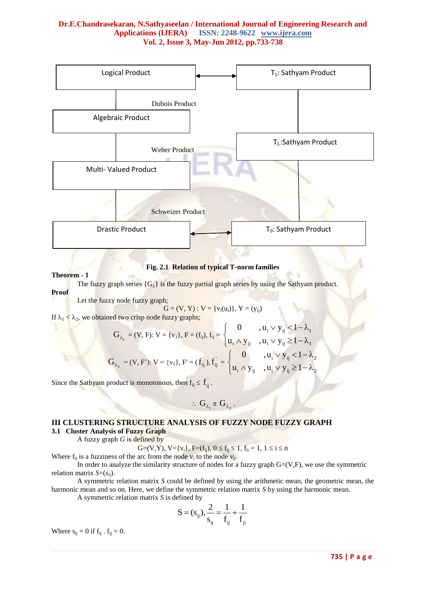

**Fig. 2.1 Relation of typical T-norm families**

#### **Theorem - 1**

The fuzzy graph series  ${G_{\lambda}}$  is the fuzzy partial graph series by using the Sathyam product. **Proof**

Let the fuzzy node fuzzy graph;

$$
G = (V, Y) : V = \{v_i(u_i)\}, Y = (y_{ij})
$$

If  $\lambda_1 < \lambda_2$ , we obtained two crisp node fuzzy graphs;

$$
G_{\lambda_1} = (V, F): V = \{v_1\}, F = (f_{ij}), f_{ij} = \begin{cases} 0 & , u_i \vee y_{ij} < 1 - \lambda_1 \\ u_i \wedge y_{ij} & , u_i \vee y_{ij} \ge 1 - \lambda_1 \end{cases}
$$
  

$$
G_{\lambda_2} = (V, F): V = \{v_1\}, F = (f_{ij}), f_{ij} = \begin{cases} 0 & , u_i \vee y_{ij} < 1 - \lambda_2 \\ u_i \wedge y_{ij} & , u_i \vee y_{ij} \ge 1 - \lambda_2 \end{cases}
$$

Since the Sathyam product is monotonous, then  $f_{ij} \leq \overrightarrow{f}_{ij}$ .

$$
\therefore \ G_{\lambda_1} \, \pi \ G_{\lambda_2} \, .
$$

# **III CLUSTERING STRUCTURE ANALYSIS OF FUZZY NODE FUZZY GRAPH**

## **3.1 Cluster Analysis of Fuzzy Graph**

A fuzzy graph *G* is defined by

$$
G{=}(V,Y),\, V{=}\{v_i\},\, F{=}(f_{ij}),\, 0\leq f_{ij}\leq 1,\, f_{ii}=1,\, 1\leq i\leq n
$$

Where  $f_{ij}$  is a fuzziness of the arc from the node  $v_i$  to the node  $v_j$ .

In order to analyze the similarity structure of nodes for a fuzzy graph  $G=(V,F)$ , we use the symmetric relation matrix *S*=(*sij*).

A symmetric relation matrix *S* could be defined by using the arithmetic mean, the geometric mean, the harmonic mean and so on. Here, we define the symmetric relation matrix *S* by using the harmonic mean.

A symmetric relation matrix *S* is defined by

$$
S = (s_{ij}), \frac{2}{s_{ij}} = \frac{1}{f_{ij}} + \frac{1}{f_{ji}}
$$

Where  $s_{ij} = 0$  if  $f_{ij}$ .  $f_{ij} = 0$ .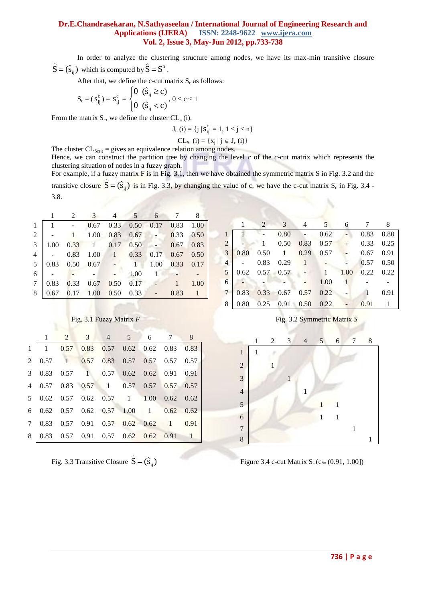In order to analyze the clustering structure among nodes, we have its max-min transitive closure  $\hat{S} = (\hat{s}_{ij})$  $\overline{a}$ which is computed by  $\hat{S} = S^n$ .

After that, we define the c-cut matrix  $S_c$  as follows:

$$
S_c = (s_{ij}^c) = s_{ij}^c = \begin{cases} 0 & (\hat{s}_{ij} \ge c) \\ 0 & (\hat{s}_{ij} < c) \end{cases}, 0 \le c \le 1
$$

From the matrix  $S_c$ , we define the cluster  $CL_{sc}(i)$ .

$$
J_c(i) = \{j \mid s_{ij}^c = 1, \, 1 \le j \le n\}
$$

$$
CL_{Sc}(i)=\left\{ x_{j}\mid j\in J_{c}\left( i\right) \right\}
$$

The cluster  $CL_{Sc(i)} =$  gives an equivalence relation among nodes.

Hence, we can construct the partition tree by changing the level *c* of the *c*-cut matrix which represents the clustering situation of nodes in a fuzzy graph.

For example, if a fuzzy matrix  $\vec{F}$  is in Fig. 3.1, then we have obtained the symmetric matrix S in Fig. 3.2 and the transitive closure  $\hat{S} = (\hat{s}_{ij})$  is in Fig. 3.3, by changing the value of c, we have the c-cut matrix S<sub>c</sub> in Fig. 3.4 -3.8.

|                | 2    |                        | 3              | 4             | 5 <sup>5</sup>       | 6            |                   | 8    |  |
|----------------|------|------------------------|----------------|---------------|----------------------|--------------|-------------------|------|--|
|                |      |                        | 0.67           |               | $0.33$ $0.50$ $0.17$ |              | 0.83              | 1.00 |  |
| 2              |      |                        | 1.00           | 0.83          | 0.67                 | $\sim$ $-$   | 0.33              | 0.50 |  |
| 3              | 1.00 | 0.33                   | $\overline{1}$ | $0.17$ $0.50$ |                      |              | 0.67              | 0.83 |  |
| $\overline{4}$ |      | 0.83                   | 1.00           |               | $1 \t 0.33$          | 0.17         | $0.67$ 0.50       |      |  |
| 5              |      | $0.83$ $0.50$ $0.67$ - |                |               |                      | 1.00         | $0.33 \quad 0.17$ |      |  |
| 6              |      |                        |                |               | 1.00                 | $\mathbf{1}$ |                   |      |  |
| 7              |      | $0.83 \quad 0.33$      | 0.67           | 0.50          | 0.17                 |              |                   | 1.00 |  |
| 8              | 0.67 |                        | $0.17$ 1.00    | 0.50          | 0.33                 |              | 0.83              |      |  |

|                |      | 2           | 3    | 4    | 5    | 6    |      | 8    |  |  |  |
|----------------|------|-------------|------|------|------|------|------|------|--|--|--|
| 1              |      |             | 0.80 |      | 0.62 |      | 0.83 | 0.80 |  |  |  |
| $\overline{2}$ |      |             | 0.50 | 0.83 | 0.57 |      | 0.33 | 0.25 |  |  |  |
| 3              | 0.80 | 0.50        | 1    | 0.29 | 0.57 |      | 0.67 | 0.91 |  |  |  |
| $\overline{4}$ |      | 0.83        | 0.29 | 1    |      |      | 0.57 | 0.50 |  |  |  |
| 5              | 0.62 | $0.57$ 0.57 |      |      | 1    | 1.00 | 0.22 | 0.22 |  |  |  |
| 6              |      |             |      |      | 1.00 | 1    |      |      |  |  |  |
| 7              | 0.83 | 0.33        | 0.67 | 0.57 | 0.22 |      |      | 0.91 |  |  |  |
| 8              | 0.80 | 0.25        | 0.91 | 0.50 | 0.22 |      | 0.91 |      |  |  |  |



Fig. 3.3 Transitive Closure  $\hat{S} = (\hat{s}_{ij})$  $\overline{a}$ 

Fig. 3.1 Fuzzy Matrix *F* **Fig. 3.2 Symmetric Matrix** *S* 



Figure 3.4 c-cut Matrix  $S_c$  (c  $\in$  (0.91, 1.00])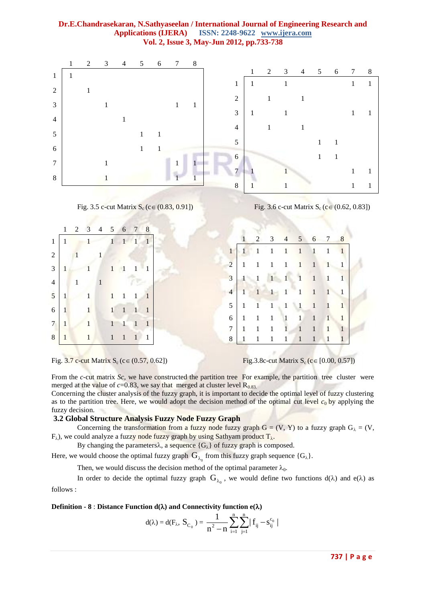

|                 |              |                |                  | 1 2 3 4 5 6 7 8         |                     |         |    |                |              |                                                             |                |                |                        |                |  |
|-----------------|--------------|----------------|------------------|-------------------------|---------------------|---------|----|----------------|--------------|-------------------------------------------------------------|----------------|----------------|------------------------|----------------|--|
| 1               |              |                |                  | $1 \t 1 \t 1 \t 1 \t 1$ |                     |         |    |                |              | $1$ 2 3 4 5 6 7 8                                           |                |                |                        |                |  |
| 2 l             |              | $\blacksquare$ |                  |                         |                     |         |    |                |              | $1 \quad 1 \quad 1 \quad 1 \quad 1 \quad 1 \quad 1 \quad 1$ |                |                |                        |                |  |
| $\overline{3}$  |              |                |                  | $1 \t1 \t1 \t1 \t1 \t1$ |                     |         |    | $\overline{2}$ |              | $1 \quad 1 \quad 1 \quad 1 \quad 1 \quad 1 \quad 1 \quad 1$ |                |                |                        |                |  |
| 4 <sup>1</sup>  |              | $\mathbf{1}$   |                  | 1                       |                     |         |    | 3 <sup>1</sup> |              | $1 \quad 1 \quad 1 \quad 1 \quad 1 \quad 1 \quad 1 \quad 1$ |                |                |                        |                |  |
| 5               | $\mathbf{1}$ |                |                  | 1 1 1 1 1               |                     |         |    | $\overline{4}$ |              | $1 \t1 \t1 \t1 \t1 \t1 \t1$                                 |                |                |                        |                |  |
| 6               | $\mathbf{1}$ |                |                  |                         |                     | 1 1 1 1 |    | 5              |              | $1 \quad 1 \quad 1 \quad 1 \quad 1 \quad 1 \quad 1 \quad 1$ |                |                |                        |                |  |
| $7\phantom{.0}$ | $\mathbf{1}$ |                | $\sqrt{1}$       | $1 \quad 1 \quad 1$     |                     |         |    | 6              | $1 \quad 1$  | $1 \quad 1 \quad 1$                                         |                | $\overline{1}$ | $1 \quad 1$            |                |  |
|                 |              |                |                  |                         |                     |         |    | $\tau$         | $\mathbf{1}$ | $1 \quad 1 \quad 1 \quad 1 \quad 1$                         |                |                | $\blacktriangleleft 1$ | $\blacksquare$ |  |
| 8               | $\mathbf{1}$ |                | $\vert -1 \vert$ |                         | $1 \quad 1 \quad 1$ |         | -1 | 8              | $1 \quad 1$  | $\begin{array}{cc} 1 & 1 \end{array}$                       | $\blacksquare$ | $\overline{1}$ | $\sqrt{1}$             |                |  |



From the *c*-cut matrix *Sc*, we have constructed the partition tree For example, the partition tree cluster were merged at the value of  $c=0.83$ , we say that merged at cluster level  $R<sub>0.83</sub>$ .

Concerning the cluster analysis of the fuzzy graph, it is important to decide the optimal level of fuzzy clustering as to the partition tree. Here, we would adopt the decision method of the optimal cut level  $c_0$  by applying the fuzzy decision.

## **3.2 Global Structure Analysis Fuzzy Node Fuzzy Graph**

Concerning the transformation from a fuzzy node fuzzy graph  $G = (V, Y)$  to a fuzzy graph  $G_{\lambda} = (V, Y)$  $F_{\lambda}$ ), we could analyze a fuzzy node fuzzy graph by using Sathyam product  $T_{\lambda}$ .

By changing the parameters $\lambda$ , a sequence  $\{G_{\lambda}\}\$  of fuzzy graph is composed.

Here, we would choose the optimal fuzzy graph  $G_{\lambda_0}$  from this fuzzy graph sequence  $\{G_{\lambda}\}.$ 

Then, we would discuss the decision method of the optimal parameter  $\lambda_0$ .

In order to decide the optimal fuzzy graph  $G_{\lambda_0}$ , we would define two functions  $d(\lambda)$  and  $e(\lambda)$  as follows :

## **Definition - 8** : **Distance Function d**( $\lambda$ ) and Connectivity function e( $\lambda$ )

$$
d(\lambda)=d(F_{\lambda},\ S_{C_0}\ )=\frac{1}{n^2-n}\sum_{i=1}^n\sum_{j=1}^n\big|\ f_{ij}-s_{ij}^{c_0}\ \big|
$$